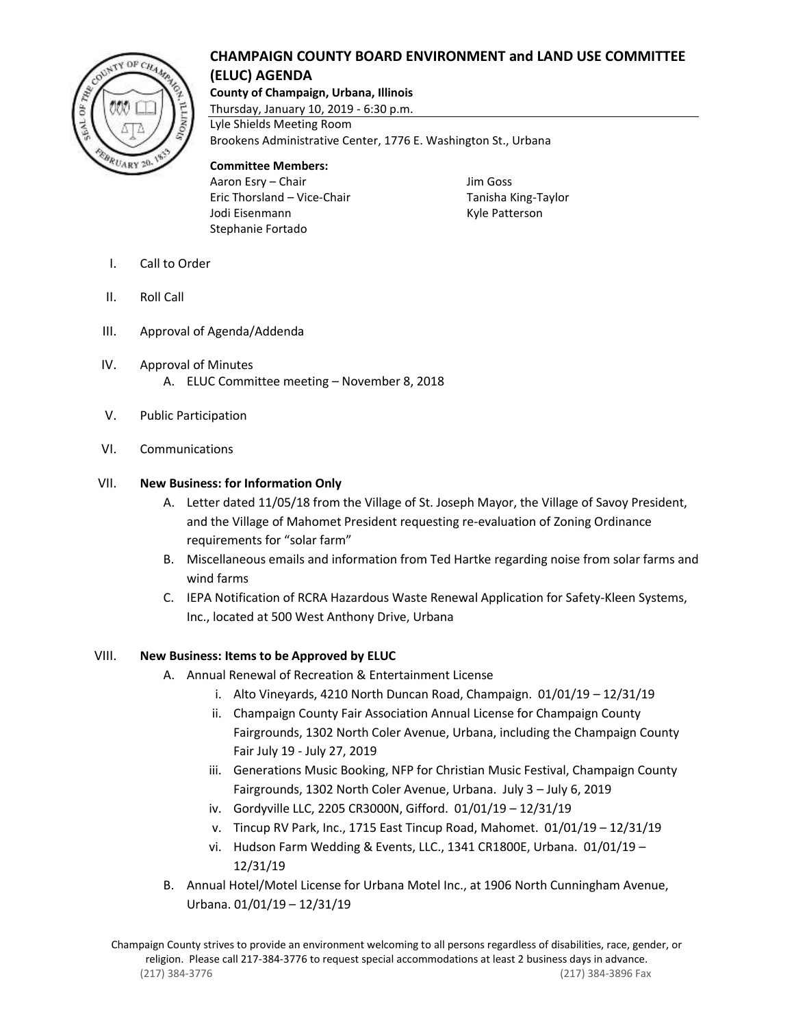# **CHAMPAIGN COUNTY BOARD ENVIRONMENT and LAND USE COMMITTEE (ELUC) AGENDA**



**County of Champaign, Urbana, Illinois**

Thursday, January 10, 2019 - 6:30 p.m. Lyle Shields Meeting Room Brookens Administrative Center, 1776 E. Washington St., Urbana

## **Committee Members:**

Aaron Esry – Chair **Jim Goss** Eric Thorsland – Vice-Chair Tanisha King-Taylor Jodi Eisenmann **Kyle Patterson** Stephanie Fortado

- I. Call to Order
- II. Roll Call
- III. Approval of Agenda/Addenda
- IV. Approval of Minutes A. ELUC Committee meeting – November 8, 2018
- V. Public Participation
- VI. Communications

## VII. **New Business: for Information Only**

- A. Letter dated 11/05/18 from the Village of St. Joseph Mayor, the Village of Savoy President, and the Village of Mahomet President requesting re-evaluation of Zoning Ordinance requirements for "solar farm"
- B. Miscellaneous emails and information from Ted Hartke regarding noise from solar farms and wind farms
- C. IEPA Notification of RCRA Hazardous Waste Renewal Application for Safety-Kleen Systems, Inc., located at 500 West Anthony Drive, Urbana

# VIII. **New Business: Items to be Approved by ELUC**

- A. Annual Renewal of Recreation & Entertainment License
	- i. Alto Vineyards, 4210 North Duncan Road, Champaign. 01/01/19 12/31/19
	- ii. Champaign County Fair Association Annual License for Champaign County Fairgrounds, 1302 North Coler Avenue, Urbana, including the Champaign County Fair July 19 - July 27, 2019
	- iii. Generations Music Booking, NFP for Christian Music Festival, Champaign County Fairgrounds, 1302 North Coler Avenue, Urbana. July 3 – July 6, 2019
	- iv. Gordyville LLC, 2205 CR3000N, Gifford. 01/01/19 12/31/19
	- v. Tincup RV Park, Inc., 1715 East Tincup Road, Mahomet. 01/01/19 12/31/19
	- vi. Hudson Farm Wedding & Events, LLC., 1341 CR1800E, Urbana. 01/01/19 12/31/19
- B. Annual Hotel/Motel License for Urbana Motel Inc., at 1906 North Cunningham Avenue, Urbana. 01/01/19 – 12/31/19